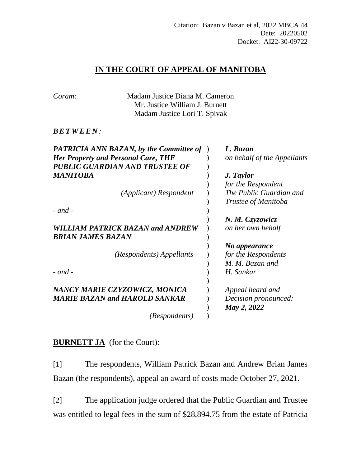## **IN THE COURT OF APPEAL OF MANITOBA**

| Coram:                                     | Madam Justice Diana M. Cameron<br>Mr. Justice William J. Burnett<br>Madam Justice Lori T. Spivak |                             |
|--------------------------------------------|--------------------------------------------------------------------------------------------------|-----------------------------|
| <i>BETWEEN:</i>                            |                                                                                                  |                             |
|                                            | <b>PATRICIA ANN BAZAN, by the Committee of</b>                                                   | L. Bazan                    |
| <b>Her Property and Personal Care, THE</b> |                                                                                                  | on behalf of the Appellants |
|                                            | PUBLIC GUARDIAN AND TRUSTEE OF                                                                   |                             |
| MANITOBA                                   |                                                                                                  | J. Taylor                   |
|                                            |                                                                                                  | for the Respondent          |
|                                            | (Applicant) Respondent                                                                           | The Public Guardian and     |
|                                            |                                                                                                  | Trustee of Manitoba         |
| - and -                                    |                                                                                                  |                             |
|                                            |                                                                                                  | N. M. Czyzowicz             |
| BRIAN JAMES BAZAN                          | <b>WILLIAM PATRICK BAZAN and ANDREW</b>                                                          | on her own behalf           |
|                                            |                                                                                                  | No appearance               |
|                                            | (Respondents) Appellants                                                                         | for the Respondents         |
|                                            |                                                                                                  | M. M. Bazan and             |
| - and -                                    |                                                                                                  | H. Sankar                   |
|                                            |                                                                                                  |                             |
|                                            | NANCY MARIE CZYZOWICZ, MONICA                                                                    | Appeal heard and            |
|                                            | <b>MARIE BAZAN and HAROLD SANKAR</b>                                                             | Decision pronounced:        |
|                                            |                                                                                                  | May 2, 2022                 |
|                                            | (Respondents)                                                                                    |                             |

## **BURNETT JA** (for the Court):

[1] The respondents, William Patrick Bazan and Andrew Brian James Bazan (the respondents), appeal an award of costs made October 27, 2021.

[2] The application judge ordered that the Public Guardian and Trustee was entitled to legal fees in the sum of \$28,894.75 from the estate of Patricia